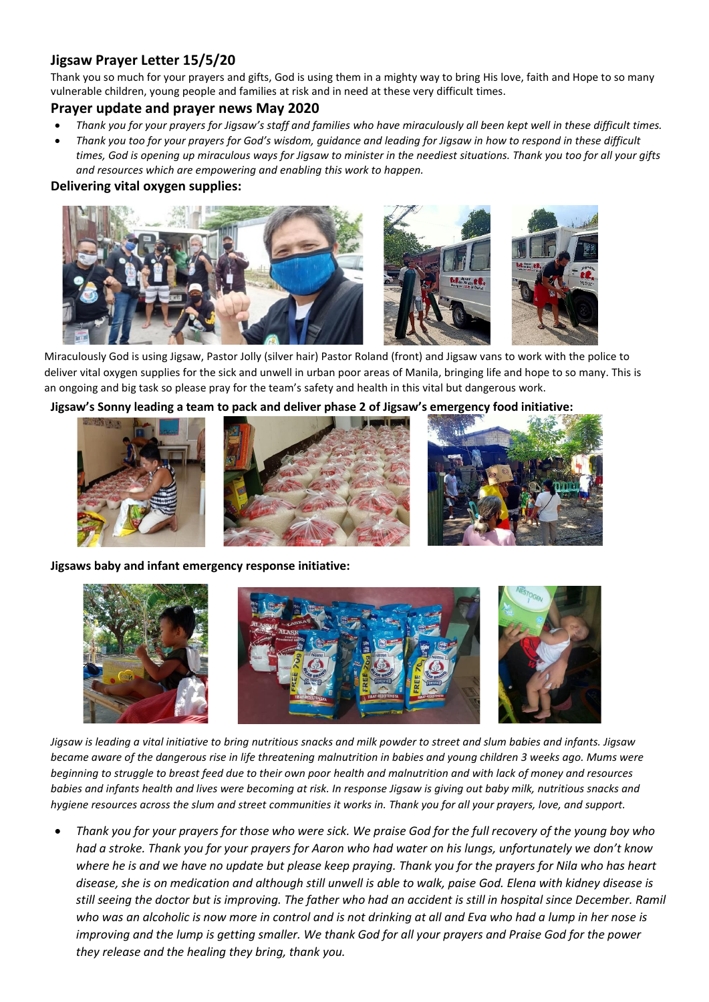# **Jigsaw Prayer Letter 15/5/20**

Thank you so much for your prayers and gifts, God is using them in a mighty way to bring His love, faith and Hope to so many vulnerable children, young people and families at risk and in need at these very difficult times.

### **Prayer update and prayer news May 2020**

- *Thank you for your prayers for Jigsaw's staff and families who have miraculously all been kept well in these difficult times.*
- *Thank you too for your prayers for God's wisdom, guidance and leading for Jigsaw in how to respond in these difficult times, God is opening up miraculous ways for Jigsaw to minister in the neediest situations. Thank you too for all your gifts and resources which are empowering and enabling this work to happen.*

### **Delivering vital oxygen supplies:**



Miraculously God is using Jigsaw, Pastor Jolly (silver hair) Pastor Roland (front) and Jigsaw vans to work with the police to deliver vital oxygen supplies for the sick and unwell in urban poor areas of Manila, bringing life and hope to so many. This is an ongoing and big task so please pray for the team's safety and health in this vital but dangerous work.

#### **Jigsaw's Sonny leading a team to pack and deliver phase 2 of Jigsaw's emergency food initiative:**



**Jigsaws baby and infant emergency response initiative:**



*Jigsaw is leading a vital initiative to bring nutritious snacks and milk powder to street and slum babies and infants. Jigsaw became aware of the dangerous rise in life threatening malnutrition in babies and young children 3 weeks ago. Mums were beginning to struggle to breast feed due to their own poor health and malnutrition and with lack of money and resources babies and infants health and lives were becoming at risk. In response Jigsaw is giving out baby milk, nutritious snacks and hygiene resources across the slum and street communities it works in. Thank you for all your prayers, love, and support.*

• *Thank you for your prayers for those who were sick. We praise God for the full recovery of the young boy who had a stroke. Thank you for your prayers for Aaron who had water on his lungs, unfortunately we don't know where he is and we have no update but please keep praying. Thank you for the prayers for Nila who has heart disease, she is on medication and although still unwell is able to walk, paise God. Elena with kidney disease is still seeing the doctor but is improving. The father who had an accident is still in hospital since December. Ramil who was an alcoholic is now more in control and is not drinking at all and Eva who had a lump in her nose is improving and the lump is getting smaller. We thank God for all your prayers and Praise God for the power they release and the healing they bring, thank you.*